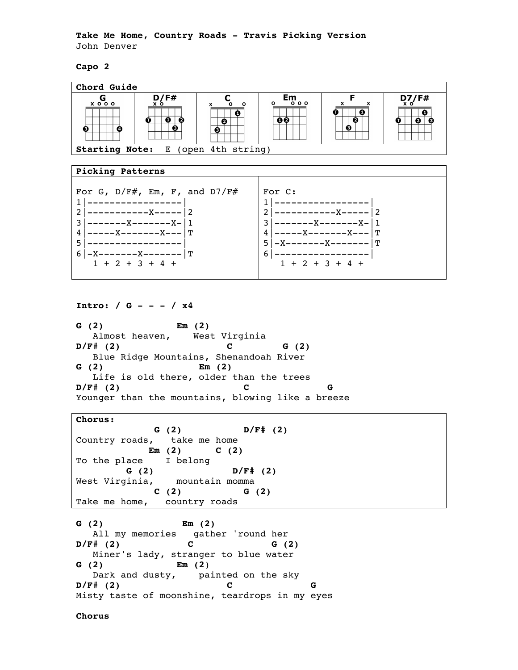**Take Me Home, Country Roads - Travis Picking Version** John Denver

**Capo 2**



```
Intro: / G - - - / x4
```
**G (2) Em (2)** Almost heaven, West Virginia **D/F# (2) C G (2)** Blue Ridge Mountains, Shenandoah River **G (2) Em (2)** Life is old there, older than the trees **D/F# (2) C G** Younger than the mountains, blowing like a breeze

**Chorus: G (2) D/F# (2)** Country roads, take me home  **Em (2) C (2)** To the place I belong  **G (2) D/F# (2)** West Virginia, mountain momma  **C (2) G (2)** Take me home, country roads

**G (2) Em (2)** All my memories gather 'round her  $D/F# (2)$  C G (2) Miner's lady, stranger to blue water **G (2) Em (2**) Dark and dusty, painted on the sky  $D/F$ # (2) C Misty taste of moonshine, teardrops in my eyes

**Chorus**